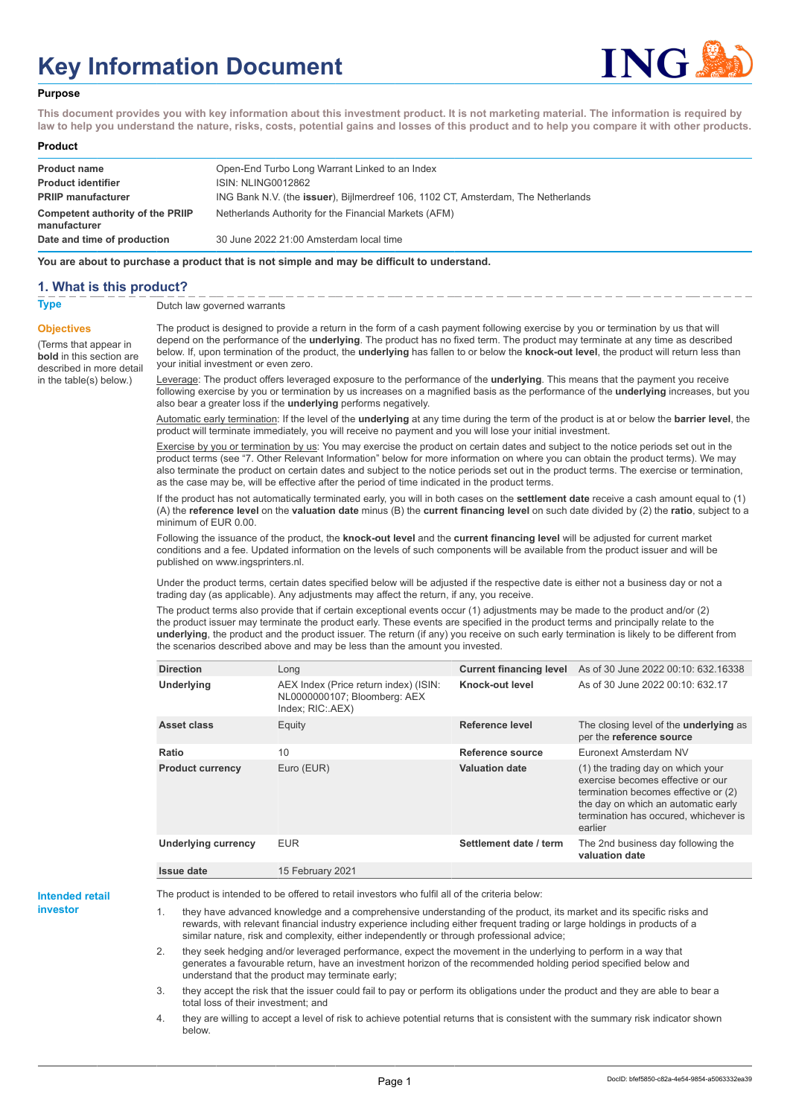# **Key Information Document**



#### **Purpose**

**This document provides you with key information about this investment product. It is not marketing material. The information is required by law to help you understand the nature, risks, costs, potential gains and losses of this product and to help you compare it with other products.**

#### **Product**

| <b>Product name</b><br><b>Product identifier</b>                              | Open-End Turbo Long Warrant Linked to an Index<br>ISIN: NLING0012862                                                                       |
|-------------------------------------------------------------------------------|--------------------------------------------------------------------------------------------------------------------------------------------|
| <b>PRIIP manufacturer</b><br>Competent authority of the PRIIP<br>manufacturer | ING Bank N.V. (the issuer), Bijlmerdreef 106, 1102 CT, Amsterdam, The Netherlands<br>Netherlands Authority for the Financial Markets (AFM) |
| Date and time of production                                                   | 30 June 2022 21:00 Amsterdam local time                                                                                                    |

**You are about to purchase a product that is not simple and may be difficult to understand.**

### **1. What is this product?**

**Objectives**

(Terms that appear in **bold** in this section are

in the table(s) below.)

**Type** Dutch law governed warrants

described in more detail The product is designed to provide a return in the form of a cash payment following exercise by you or termination by us that will depend on the performance of the **underlying**. The product has no fixed term. The product may terminate at any time as described below. If, upon termination of the product, the **underlying** has fallen to or below the **knock-out level**, the product will return less than your initial investment or even zero.

> Leverage: The product offers leveraged exposure to the performance of the **underlying**. This means that the payment you receive following exercise by you or termination by us increases on a magnified basis as the performance of the **underlying** increases, but you also bear a greater loss if the **underlying** performs negatively.

> Automatic early termination: If the level of the **underlying** at any time during the term of the product is at or below the **barrier level**, the product will terminate immediately, you will receive no payment and you will lose your initial investment.

Exercise by you or termination by us: You may exercise the product on certain dates and subject to the notice periods set out in the product terms (see "7. Other Relevant Information" below for more information on where you can obtain the product terms). We may also terminate the product on certain dates and subject to the notice periods set out in the product terms. The exercise or termination, as the case may be, will be effective after the period of time indicated in the product terms.

If the product has not automatically terminated early, you will in both cases on the **settlement date** receive a cash amount equal to (1) (A) the **reference level** on the **valuation date** minus (B) the **current financing level** on such date divided by (2) the **ratio**, subject to a minimum of EUR 0.00.

Following the issuance of the product, the **knock-out level** and the **current financing level** will be adjusted for current market conditions and a fee. Updated information on the levels of such components will be available from the product issuer and will be published on www.ingsprinters.nl.

Under the product terms, certain dates specified below will be adjusted if the respective date is either not a business day or not a trading day (as applicable). Any adjustments may affect the return, if any, you receive.

The product terms also provide that if certain exceptional events occur (1) adjustments may be made to the product and/or (2) the product issuer may terminate the product early. These events are specified in the product terms and principally relate to the **underlying**, the product and the product issuer. The return (if any) you receive on such early termination is likely to be different from the scenarios described above and may be less than the amount you invested.

| <b>Direction</b>           | Long                                                                                      | <b>Current financing level</b> | As of 30 June 2022 00:10: 632.16338                                                                                                                                                                       |
|----------------------------|-------------------------------------------------------------------------------------------|--------------------------------|-----------------------------------------------------------------------------------------------------------------------------------------------------------------------------------------------------------|
| Underlying                 | AEX Index (Price return index) (ISIN:<br>NL0000000107; Bloomberg: AEX<br>Index; RIC: AEX) | Knock-out level                | As of 30 June 2022 00:10: 632.17                                                                                                                                                                          |
| Asset class                | Equity                                                                                    | Reference level                | The closing level of the <b>underlying</b> as<br>per the reference source                                                                                                                                 |
| Ratio                      | 10                                                                                        | Reference source               | Euronext Amsterdam NV                                                                                                                                                                                     |
| <b>Product currency</b>    | Euro (EUR)                                                                                | <b>Valuation date</b>          | (1) the trading day on which your<br>exercise becomes effective or our<br>termination becomes effective or (2)<br>the day on which an automatic early<br>termination has occured, whichever is<br>earlier |
| <b>Underlying currency</b> | <b>EUR</b>                                                                                | Settlement date / term         | The 2nd business day following the<br>valuation date                                                                                                                                                      |
| Issue date                 | 15 February 2021                                                                          |                                |                                                                                                                                                                                                           |

**Intended retail investor**

The product is intended to be offered to retail investors who fulfil all of the criteria below:

they have advanced knowledge and a comprehensive understanding of the product, its market and its specific risks and rewards, with relevant financial industry experience including either frequent trading or large holdings in products of a similar nature, risk and complexity, either independently or through professional advice;

2. they seek hedging and/or leveraged performance, expect the movement in the underlying to perform in a way that generates a favourable return, have an investment horizon of the recommended holding period specified below and understand that the product may terminate early;

3. they accept the risk that the issuer could fail to pay or perform its obligations under the product and they are able to bear a total loss of their investment; and

4. they are willing to accept a level of risk to achieve potential returns that is consistent with the summary risk indicator shown below.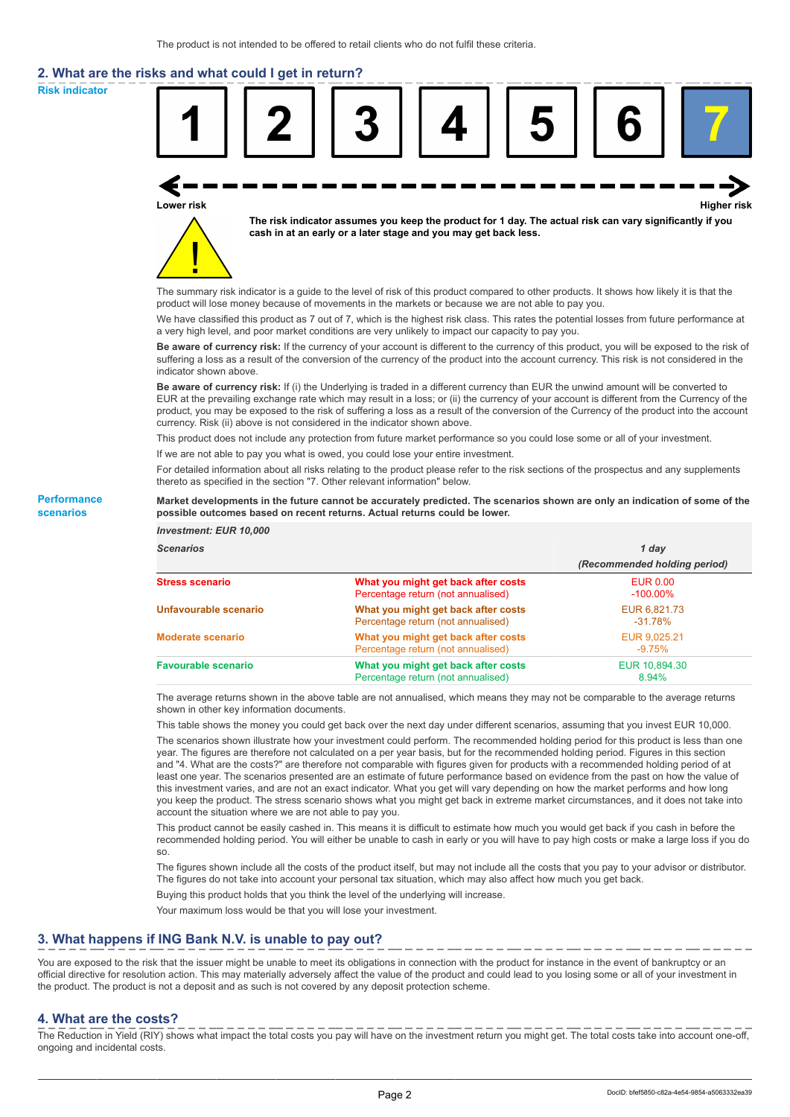# **2. What are the risks and what could I get in return?**

**Risk indicator**

**Performance scenarios**



thereto as specified in the section "7. Other relevant information" below.

#### **Market developments in the future cannot be accurately predicted. The scenarios shown are only an indication of some of the possible outcomes based on recent returns. Actual returns could be lower.**

| <b>Investment: EUR 10,000</b> |                                                                           |                                |
|-------------------------------|---------------------------------------------------------------------------|--------------------------------|
| <b>Scenarios</b>              |                                                                           | 1 day                          |
|                               |                                                                           | (Recommended holding period)   |
| <b>Stress scenario</b>        | What you might get back after costs<br>Percentage return (not annualised) | <b>EUR 0.00</b><br>$-100.00\%$ |
| Unfavourable scenario         | What you might get back after costs<br>Percentage return (not annualised) | EUR 6,821.73<br>$-31.78\%$     |
| <b>Moderate scenario</b>      | What you might get back after costs<br>Percentage return (not annualised) | EUR 9.025.21<br>$-9.75\%$      |
| <b>Favourable scenario</b>    | What you might get back after costs<br>Percentage return (not annualised) | EUR 10.894.30<br>8.94%         |

The average returns shown in the above table are not annualised, which means they may not be comparable to the average returns shown in other key information documents.

This table shows the money you could get back over the next day under different scenarios, assuming that you invest EUR 10,000.

The scenarios shown illustrate how your investment could perform. The recommended holding period for this product is less than one year. The figures are therefore not calculated on a per year basis, but for the recommended holding period. Figures in this section and "4. What are the costs?" are therefore not comparable with figures given for products with a recommended holding period of at least one year. The scenarios presented are an estimate of future performance based on evidence from the past on how the value of this investment varies, and are not an exact indicator. What you get will vary depending on how the market performs and how long you keep the product. The stress scenario shows what you might get back in extreme market circumstances, and it does not take into account the situation where we are not able to pay you.

This product cannot be easily cashed in. This means it is difficult to estimate how much you would get back if you cash in before the recommended holding period. You will either be unable to cash in early or you will have to pay high costs or make a large loss if you do so.

The figures shown include all the costs of the product itself, but may not include all the costs that you pay to your advisor or distributor. The figures do not take into account your personal tax situation, which may also affect how much you get back.

Buying this product holds that you think the level of the underlying will increase.

Your maximum loss would be that you will lose your investment.

## **3. What happens if ING Bank N.V. is unable to pay out?**

You are exposed to the risk that the issuer might be unable to meet its obligations in connection with the product for instance in the event of bankruptcy or an official directive for resolution action. This may materially adversely affect the value of the product and could lead to you losing some or all of your investment in the product. The product is not a deposit and as such is not covered by any deposit protection scheme.

### **4. What are the costs?**

The Reduction in Yield (RIY) shows what impact the total costs you pay will have on the investment return you might get. The total costs take into account one-off, ongoing and incidental costs.